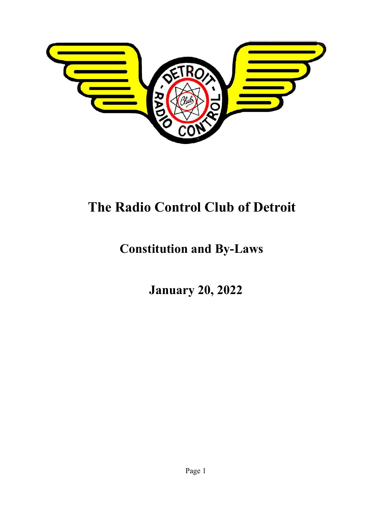

# **The Radio Control Club of Detroit**

## **Constitution and By-Laws**

**January 20, 2022**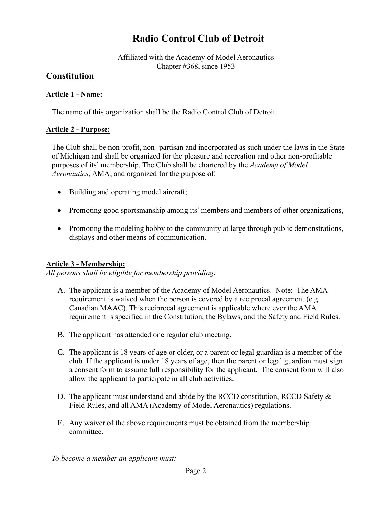## **Radio Control Club of Detroit**

Affiliated with the Academy of Model Aeronautics Chapter #368, since 1953

## **Constitution**

## **Article 1 - Name:**

The name of this organization shall be the Radio Control Club of Detroit.

## **Article 2 - Purpose:**

The Club shall be non-profit, non- partisan and incorporated as such under the laws in the State of Michigan and shall be organized for the pleasure and recreation and other non-profitable purposes of its' membership. The Club shall be chartered by the *Academy of Model Aeronautics,* AMA, and organized for the purpose of:

- Building and operating model aircraft;
- Promoting good sportsmanship among its' members and members of other organizations,
- Promoting the modeling hobby to the community at large through public demonstrations, displays and other means of communication.

### **Article 3 - Membership:**

*All persons shall be eligible for membership providing:*

- A. The applicant is a member of the Academy of Model Aeronautics. Note: The AMA requirement is waived when the person is covered by a reciprocal agreement (e.g. Canadian MAAC). This reciprocal agreement is applicable where ever the AMA requirement is specified in the Constitution, the Bylaws, and the Safety and Field Rules.
- B. The applicant has attended one regular club meeting.
- C. The applicant is 18 years of age or older, or a parent or legal guardian is a member of the club. If the applicant is under 18 years of age, then the parent or legal guardian must sign a consent form to assume full responsibility for the applicant. The consent form will also allow the applicant to participate in all club activities.
- D. The applicant must understand and abide by the RCCD constitution, RCCD Safety & Field Rules, and all AMA (Academy of Model Aeronautics) regulations.
- E. Any waiver of the above requirements must be obtained from the membership committee.

*To become a member an applicant must:*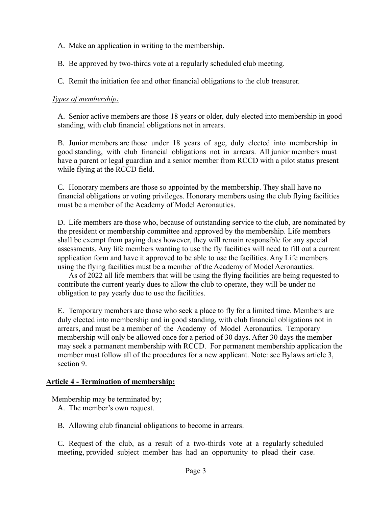- A. Make an application in writing to the membership.
- B. Be approved by two-thirds vote at a regularly scheduled club meeting.
- C. Remit the initiation fee and other financial obligations to the club treasurer.

### *Types of membership:*

A. Senior active members are those 18 years or older, duly elected into membership in good standing, with club financial obligations not in arrears.

B. Junior members are those under 18 years of age, duly elected into membership in good standing, with club financial obligations not in arrears. All junior members must have a parent or legal guardian and a senior member from RCCD with a pilot status present while flying at the RCCD field.

C. Honorary members are those so appointed by the membership. They shall have no financial obligations or voting privileges. Honorary members using the club flying facilities must be a member of the Academy of Model Aeronautics.

D. Life members are those who, because of outstanding service to the club, are nominated by the president or membership committee and approved by the membership. Life members shall be exempt from paying dues however, they will remain responsible for any special assessments. Any life members wanting to use the fly facilities will need to fill out a current application form and have it approved to be able to use the facilities. Any Life members using the flying facilities must be a member of the Academy of Model Aeronautics.

As of 2022 all life members that will be using the flying facilities are being requested to contribute the current yearly dues to allow the club to operate, they will be under no obligation to pay yearly due to use the facilities.

E. Temporary members are those who seek a place to fly for a limited time. Members are duly elected into membership and in good standing, with club financial obligations not in arrears, and must be a member of the Academy of Model Aeronautics. Temporary membership will only be allowed once for a period of 30 days. After 30 days the member may seek a permanent membership with RCCD. For permanent membership application the member must follow all of the procedures for a new applicant. Note: see Bylaws article 3, section 9.

### **Article 4 - Termination of membership:**

Membership may be terminated by;

- A. The member's own request.
- B. Allowing club financial obligations to become in arrears.

C. Request of the club, as a result of a two-thirds vote at a regularly scheduled meeting, provided subject member has had an opportunity to plead their case.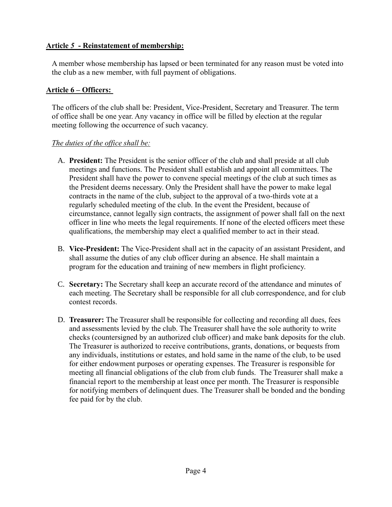## **Article** *5* **- Reinstatement of membership:**

A member whose membership has lapsed or been terminated for any reason must be voted into the club as a new member, with full payment of obligations.

### **Article 6 – Officers:**

The officers of the club shall be: President, Vice-President, Secretary and Treasurer. The term of office shall be one year. Any vacancy in office will be filled by election at the regular meeting following the occurrence of such vacancy.

## *The duties of the office shall be:*

- A. **President:** The President is the senior officer of the club and shall preside at all club meetings and functions. The President shall establish and appoint all committees. The President shall have the power to convene special meetings of the club at such times as the President deems necessary. Only the President shall have the power to make legal contracts in the name of the club, subject to the approval of a two-thirds vote at a regularly scheduled meeting of the club. In the event the President, because of circumstance, cannot legally sign contracts, the assignment of power shall fall on the next officer in line who meets the legal requirements. If none of the elected officers meet these qualifications, the membership may elect a qualified member to act in their stead.
- B. **Vice-President:** The Vice-President shall act in the capacity of an assistant President, and shall assume the duties of any club officer during an absence. He shall maintain a program for the education and training of new members in flight proficiency.
- C. **Secretary:** The Secretary shall keep an accurate record of the attendance and minutes of each meeting. The Secretary shall be responsible for all club correspondence, and for club contest records.
- D. **Treasurer:** The Treasurer shall be responsible for collecting and recording all dues, fees and assessments levied by the club. The Treasurer shall have the sole authority to write checks (countersigned by an authorized club officer) and make bank deposits for the club. The Treasurer is authorized to receive contributions, grants, donations, or bequests from any individuals, institutions or estates, and hold same in the name of the club, to be used for either endowment purposes or operating expenses. The Treasurer is responsible for meeting all financial obligations of the club from club funds. The Treasurer shall make a financial report to the membership at least once per month. The Treasurer is responsible for notifying members of delinquent dues. The Treasurer shall be bonded and the bonding fee paid for by the club.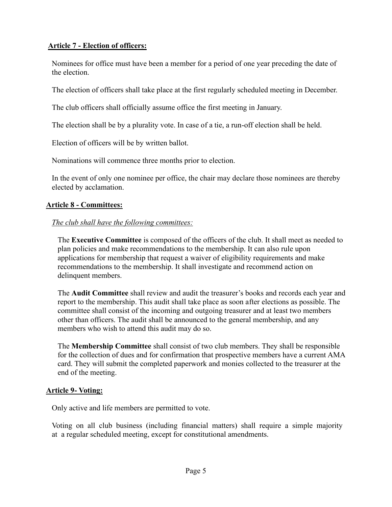## **Article 7 - Election of officers:**

Nominees for office must have been a member for a period of one year preceding the date of the election.

The election of officers shall take place at the first regularly scheduled meeting in December.

The club officers shall officially assume office the first meeting in January.

The election shall be by a plurality vote. In case of a tie, a run-off election shall be held.

Election of officers will be by written ballot.

Nominations will commence three months prior to election.

In the event of only one nominee per office, the chair may declare those nominees are thereby elected by acclamation.

### **Article 8 - Committees:**

### *The club shall have the following committees:*

The **Executive Committee** is composed of the officers of the club. It shall meet as needed to plan policies and make recommendations to the membership. It can also rule upon applications for membership that request a waiver of eligibility requirements and make recommendations to the membership. It shall investigate and recommend action on delinquent members.

The **Audit Committee** shall review and audit the treasurer's books and records each year and report to the membership. This audit shall take place as soon after elections as possible. The committee shall consist of the incoming and outgoing treasurer and at least two members other than officers. The audit shall be announced to the general membership, and any members who wish to attend this audit may do so.

The **Membership Committee** shall consist of two club members. They shall be responsible for the collection of dues and for confirmation that prospective members have a current AMA card. They will submit the completed paperwork and monies collected to the treasurer at the end of the meeting.

### **Article 9- Voting:**

Only active and life members are permitted to vote.

Voting on all club business (including financial matters) shall require a simple majority at a regular scheduled meeting, except for constitutional amendments.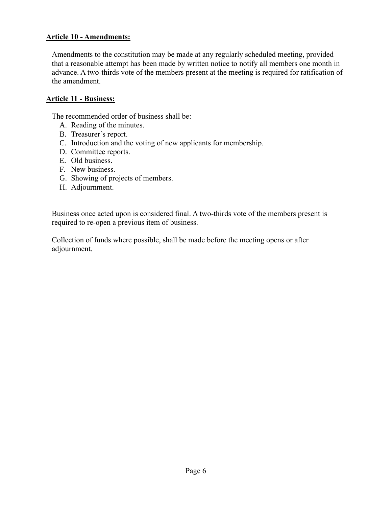### **Article 10 - Amendments:**

Amendments to the constitution may be made at any regularly scheduled meeting, provided that a reasonable attempt has been made by written notice to notify all members one month in advance. A two-thirds vote of the members present at the meeting is required for ratification of the amendment.

#### **Article 11 - Business:**

The recommended order of business shall be:

- A. Reading of the minutes.
- B. Treasurer's report.
- C. Introduction and the voting of new applicants for membership.
- D. Committee reports.
- E. Old business.
- F. New business.
- G. Showing of projects of members.
- H. Adjournment.

Business once acted upon is considered final. A two-thirds vote of the members present is required to re-open a previous item of business.

Collection of funds where possible, shall be made before the meeting opens or after adjournment.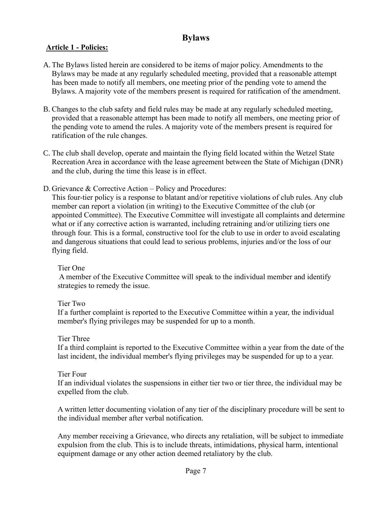## **Bylaws**

## **Article 1 - Policies:**

- A. The Bylaws listed herein are considered to be items of major policy. Amendments to the Bylaws may be made at any regularly scheduled meeting, provided that a reasonable attempt has been made to notify all members, one meeting prior of the pending vote to amend the Bylaws. A majority vote of the members present is required for ratification of the amendment.
- B. Changes to the club safety and field rules may be made at any regularly scheduled meeting, provided that a reasonable attempt has been made to notify all members, one meeting prior of the pending vote to amend the rules. A majority vote of the members present is required for ratification of the rule changes.
- C. The club shall develop, operate and maintain the flying field located within the Wetzel State Recreation Area in accordance with the lease agreement between the State of Michigan (DNR) and the club, during the time this lease is in effect.
- D. Grievance & Corrective Action Policy and Procedures:

This four-tier policy is a response to blatant and/or repetitive violations of club rules. Any club member can report a violation (in writing) to the Executive Committee of the club (or appointed Committee). The Executive Committee will investigate all complaints and determine what or if any corrective action is warranted, including retraining and/or utilizing tiers one through four. This is a formal, constructive tool for the club to use in order to avoid escalating and dangerous situations that could lead to serious problems, injuries and/or the loss of our flying field.

### Tier One

A member of the Executive Committee will speak to the individual member and identify strategies to remedy the issue.

## Tier Two

If a further complaint is reported to the Executive Committee within a year, the individual member's flying privileges may be suspended for up to a month.

### Tier Three

If a third complaint is reported to the Executive Committee within a year from the date of the last incident, the individual member's flying privileges may be suspended for up to a year.

### Tier Four

If an individual violates the suspensions in either tier two or tier three, the individual may be expelled from the club.

A written letter documenting violation of any tier of the disciplinary procedure will be sent to the individual member after verbal notification.

Any member receiving a Grievance, who directs any retaliation, will be subject to immediate expulsion from the club. This is to include threats, intimidations, physical harm, intentional equipment damage or any other action deemed retaliatory by the club.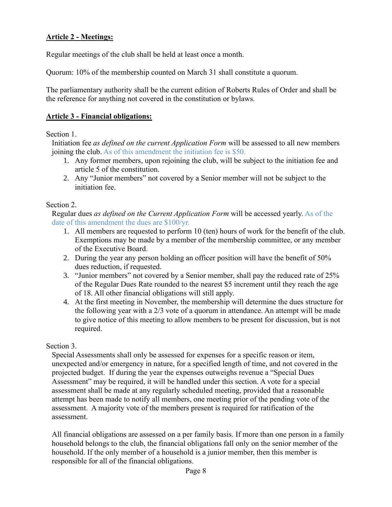## **Article 2 - Meetings:**

Regular meetings of the club shall be held at least once a month.

Quorum: 10% of the membership counted on March 31 shall constitute a quorum.

The parliamentary authority shall be the current edition of Roberts Rules of Order and shall be the reference for anything not covered in the constitution or bylaws.

#### **Article 3 - Financial obligations:**

#### Section 1.

Initiation fee *as defined on the current Application Form* will be assessed to all new members joining the club. As of this amendment the initiation fee is \$50.

- 1. Any former members, upon rejoining the club, will be subject to the initiation fee and article 5 of the constitution.
- 2. Any "Junior members" not covered by a Senior member will not be subject to the initiation fee.

#### Section 2.

Regular dues *as defined on the Current Application Form* will be accessed yearly. As of the date of this amendment the dues are \$100/yr.

- 1. All members are requested to perform 10 (ten) hours of work for the benefit of the club. Exemptions may be made by a member of the membership committee, or any member of the Executive Board.
- 2. During the year any person holding an officer position will have the benefit of 50% dues reduction, if requested.
- 3. "Junior members" not covered by a Senior member, shall pay the reduced rate of 25% of the Regular Dues Rate rounded to the nearest \$5 increment until they reach the age of 18. All other financial obligations will still apply.
- 4. At the first meeting in November, the membership will determine the dues structure for the following year with a 2/3 vote of a quorum in attendance. An attempt will be made to give notice of this meeting to allow members to be present for discussion, but is not required.

### Section 3.

Special Assessments shall only be assessed for expenses for a specific reason or item, unexpected and/or emergency in nature, for a specified length of time, and not covered in the projected budget. If during the year the expenses outweighs revenue a "Special Dues Assessment" may be required, it will be handled under this section. A vote for a special assessment shall be made at any regularly scheduled meeting, provided that a reasonable attempt has been made to notify all members, one meeting prior of the pending vote of the assessment. A majority vote of the members present is required for ratification of the assessment.

All financial obligations are assessed on a per family basis. If more than one person in a family household belongs to the club, the financial obligations fall only on the senior member of the household. If the only member of a household is a junior member, then this member is responsible for all of the financial obligations.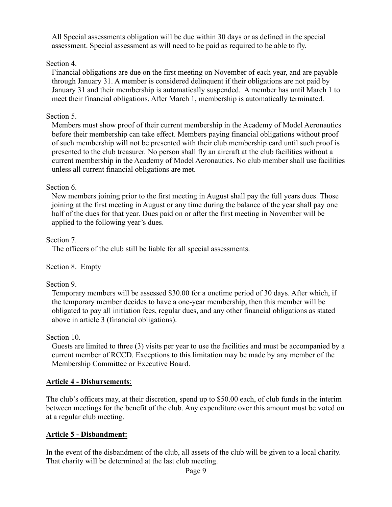All Special assessments obligation will be due within 30 days or as defined in the special assessment. Special assessment as will need to be paid as required to be able to fly.

## Section 4.

Financial obligations are due on the first meeting on November of each year, and are payable through January 31. A member is considered delinquent if their obligations are not paid by January 31 and their membership is automatically suspended. A member has until March 1 to meet their financial obligations. After March 1, membership is automatically terminated.

## Section 5.

Members must show proof of their current membership in the Academy of Model Aeronautics before their membership can take effect. Members paying financial obligations without proof of such membership will not be presented with their club membership card until such proof is presented to the club treasurer. No person shall fly an aircraft at the club facilities without a current membership in the Academy of Model Aeronautics. No club member shall use facilities unless all current financial obligations are met.

## Section 6.

New members joining prior to the first meeting in August shall pay the full years dues. Those joining at the first meeting in August or any time during the balance of the year shall pay one half of the dues for that year. Dues paid on or after the first meeting in November will be applied to the following year's dues.

Section 7.

The officers of the club still be liable for all special assessments.

Section 8. Empty

## Section 9.

Temporary members will be assessed \$30.00 for a onetime period of 30 days. After which, if the temporary member decides to have a one-year membership, then this member will be obligated to pay all initiation fees, regular dues, and any other financial obligations as stated above in article 3 (financial obligations).

Section 10.

Guests are limited to three (3) visits per year to use the facilities and must be accompanied by a current member of RCCD. Exceptions to this limitation may be made by any member of the Membership Committee or Executive Board.

## **Article 4 - Disbursements**:

The club's officers may, at their discretion, spend up to \$50.00 each, of club funds in the interim between meetings for the benefit of the club. Any expenditure over this amount must be voted on at a regular club meeting.

## **Article 5 - Disbandment:**

In the event of the disbandment of the club, all assets of the club will be given to a local charity. That charity will be determined at the last club meeting.